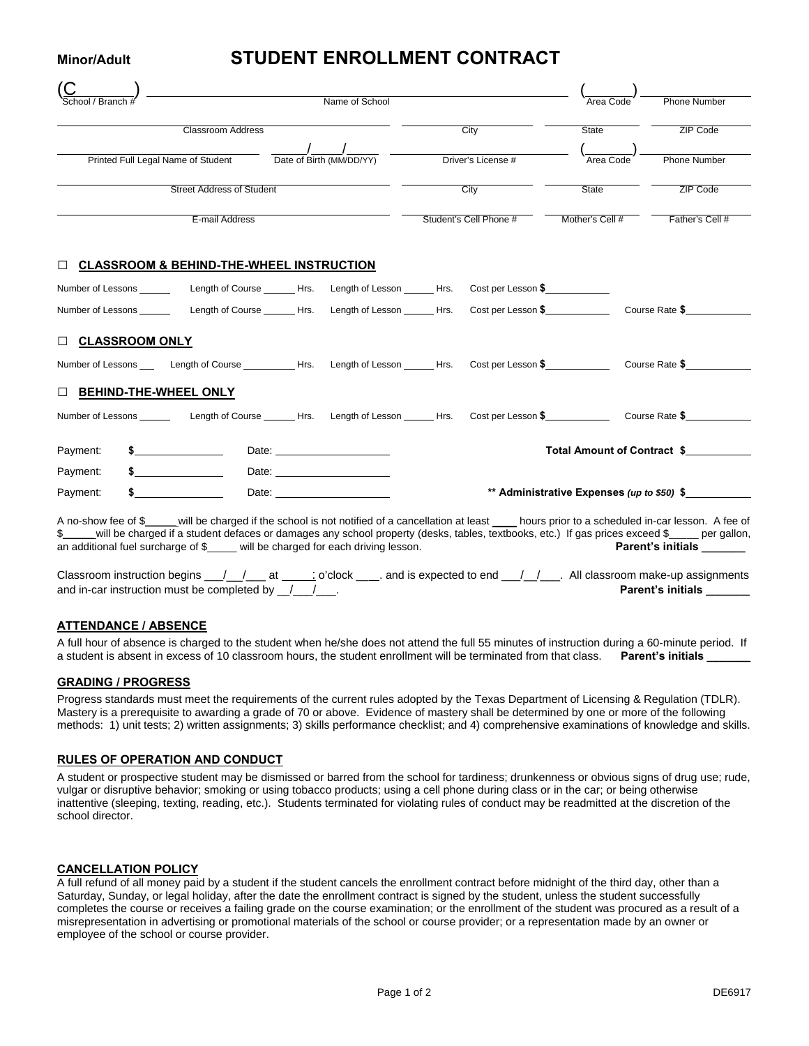## **Minor/Adult STUDENT ENROLLMENT CONTRACT**

| <b>Branch</b>                                                                                                                                    | Name of School           |                    |                        |           | Area Code           | Phone Number                |
|--------------------------------------------------------------------------------------------------------------------------------------------------|--------------------------|--------------------|------------------------|-----------|---------------------|-----------------------------|
|                                                                                                                                                  | <b>Classroom Address</b> |                    |                        | City      | State               | ZIP Code                    |
|                                                                                                                                                  |                          |                    |                        |           |                     |                             |
| Printed Full Legal Name of Student Date of Birth (MM/DD/YY)                                                                                      |                          | Driver's License # |                        | Area Code | <b>Phone Number</b> |                             |
| <b>Street Address of Student</b>                                                                                                                 |                          |                    | City                   |           | State               | ZIP Code                    |
| E-mail Address                                                                                                                                   |                          |                    | Student's Cell Phone # |           | Mother's Cell #     | Father's Cell #             |
| $\Box$ CLASSROOM & BEHIND-THE-WHEEL INSTRUCTION                                                                                                  |                          |                    |                        |           |                     |                             |
| Number of Lessons _____________Length of Course _______Hrs. Length of Lesson ______Hrs. Cost per Lesson \$                                       |                          |                    |                        |           |                     |                             |
| Number of Lessons Length of Course Hrs. Length of Lesson Hrs. Cost per Lesson \$ Course Rate \$                                                  |                          |                    |                        |           |                     |                             |
| <b>DECLASSROOM ONLY</b>                                                                                                                          |                          |                    |                        |           |                     |                             |
| Number of Lessons _____ Length of Course ___________Hrs. Length of Lesson ______Hrs. Cost per Lesson \$______________ Course Rate \$____________ |                          |                    |                        |           |                     |                             |
| <b>DEHIND-THE-WHEEL ONLY</b>                                                                                                                     |                          |                    |                        |           |                     |                             |
| Number of Lessons ________ Length of Course ______ Hrs. Length of Lesson ______ Hrs. Cost per Lesson \$____________ Course Rate \$______________ |                          |                    |                        |           |                     |                             |
| Payment:                                                                                                                                         |                          |                    |                        |           |                     | Total Amount of Contract \$ |
|                                                                                                                                                  |                          |                    |                        |           |                     |                             |
| Payment:                                                                                                                                         |                          |                    |                        |           |                     |                             |

A no-show fee of \$\_\_\_\_\_ will be charged if the school is not notified of a cancellation at least \_\_\_\_ hours prior to a scheduled in-car lesson. A fee of \$\_\_\_\_ will be charged if a student defaces or damages any school prop  $$$  will be charged if a student defaces or damages any school property (desks, tables, textbooks, etc.) If gas prices exceed \$\_ an additional fuel surcharge of \$\_\_\_\_\_ will be charged for each driving lesson. **Parent's initials Parent's initials** 

| Classroom instruction begins __/__/___ at _____; o'clock ____. and is expected to end __/_/___. All classroom make-up assignments |  |                          |
|-----------------------------------------------------------------------------------------------------------------------------------|--|--------------------------|
| and in-car instruction must be completed by $\left/ \right/$                                                                      |  | <b>Parent's initials</b> |

## **ATTENDANCE / ABSENCE**

A full hour of absence is charged to the student when he/she does not attend the full 55 minutes of instruction during a 60-minute period. If a student is absent in excess of 10 classroom hours, the student enrollment will be terminated from that class. Parent's initials

#### **GRADING / PROGRESS**

Progress standards must meet the requirements of the current rules adopted by the Texas Department of Licensing & Regulation (TDLR). Mastery is a prerequisite to awarding a grade of 70 or above. Evidence of mastery shall be determined by one or more of the following methods: 1) unit tests; 2) written assignments; 3) skills performance checklist; and 4) comprehensive examinations of knowledge and skills.

#### **RULES OF OPERATION AND CONDUCT**

A student or prospective student may be dismissed or barred from the school for tardiness; drunkenness or obvious signs of drug use; rude, vulgar or disruptive behavior; smoking or using tobacco products; using a cell phone during class or in the car; or being otherwise inattentive (sleeping, texting, reading, etc.). Students terminated for violating rules of conduct may be readmitted at the discretion of the school director.

#### **CANCELLATION POLICY**

A full refund of all money paid by a student if the student cancels the enrollment contract before midnight of the third day, other than a Saturday, Sunday, or legal holiday, after the date the enrollment contract is signed by the student, unless the student successfully completes the course or receives a failing grade on the course examination; or the enrollment of the student was procured as a result of a misrepresentation in advertising or promotional materials of the school or course provider; or a representation made by an owner or employee of the school or course provider.